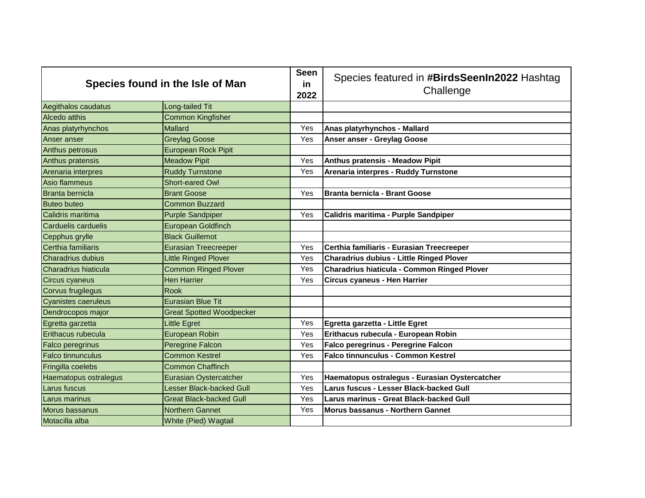| Species found in the Isle of Man |                                 | <b>Seen</b><br>in<br>2022 | Species featured in #BirdsSeenIn2022 Hashtag<br>Challenge |
|----------------------------------|---------------------------------|---------------------------|-----------------------------------------------------------|
| Aegithalos caudatus              | Long-tailed Tit                 |                           |                                                           |
| Alcedo atthis                    | <b>Common Kingfisher</b>        |                           |                                                           |
| Anas platyrhynchos               | Mallard                         | Yes                       | Anas platyrhynchos - Mallard                              |
| Anser anser                      | <b>Greylag Goose</b>            | Yes                       | Anser anser - Greylag Goose                               |
| Anthus petrosus                  | <b>European Rock Pipit</b>      |                           |                                                           |
| Anthus pratensis                 | <b>Meadow Pipit</b>             | Yes                       | Anthus pratensis - Meadow Pipit                           |
| Arenaria interpres               | <b>Ruddy Turnstone</b>          | Yes                       | Arenaria interpres - Ruddy Turnstone                      |
| Asio flammeus                    | Short-eared Owl                 |                           |                                                           |
| Branta bernicla                  | <b>Brant Goose</b>              | Yes                       | <b>Branta bernicla - Brant Goose</b>                      |
| <b>Buteo buteo</b>               | Common Buzzard                  |                           |                                                           |
| Calidris maritima                | <b>Purple Sandpiper</b>         | Yes                       | Calidris maritima - Purple Sandpiper                      |
| <b>Carduelis carduelis</b>       | European Goldfinch              |                           |                                                           |
| Cepphus grylle                   | <b>Black Guillemot</b>          |                           |                                                           |
| Certhia familiaris               | <b>Eurasian Treecreeper</b>     | Yes                       | Certhia familiaris - Eurasian Treecreeper                 |
| <b>Charadrius dubius</b>         | <b>Little Ringed Plover</b>     | Yes                       | <b>Charadrius dubius - Little Ringed Plover</b>           |
| Charadrius hiaticula             | <b>Common Ringed Plover</b>     | Yes                       | Charadrius hiaticula - Common Ringed Plover               |
| <b>Circus cyaneus</b>            | <b>Hen Harrier</b>              | Yes                       | Circus cyaneus - Hen Harrier                              |
| Corvus frugilegus                | Rook                            |                           |                                                           |
| <b>Cyanistes caeruleus</b>       | <b>Eurasian Blue Tit</b>        |                           |                                                           |
| Dendrocopos major                | <b>Great Spotted Woodpecker</b> |                           |                                                           |
| Egretta garzetta                 | Little Egret                    | Yes                       | Egretta garzetta - Little Egret                           |
| Erithacus rubecula               | European Robin                  | Yes                       | Erithacus rubecula - European Robin                       |
| Falco peregrinus                 | Peregrine Falcon                | Yes                       | <b>Falco peregrinus - Peregrine Falcon</b>                |
| <b>Falco tinnunculus</b>         | <b>Common Kestrel</b>           | Yes                       | <b>Falco tinnunculus - Common Kestrel</b>                 |
| Fringilla coelebs                | <b>Common Chaffinch</b>         |                           |                                                           |
| Haematopus ostralegus            | Eurasian Oystercatcher          | Yes                       | Haematopus ostralegus - Eurasian Oystercatcher            |
| Larus fuscus                     | Lesser Black-backed Gull        | Yes                       | Larus fuscus - Lesser Black-backed Gull                   |
| Larus marinus                    | <b>Great Black-backed Gull</b>  | Yes                       | Larus marinus - Great Black-backed Gull                   |
| Morus bassanus                   | Northern Gannet                 | Yes                       | Morus bassanus - Northern Gannet                          |
| Motacilla alba                   | White (Pied) Wagtail            |                           |                                                           |